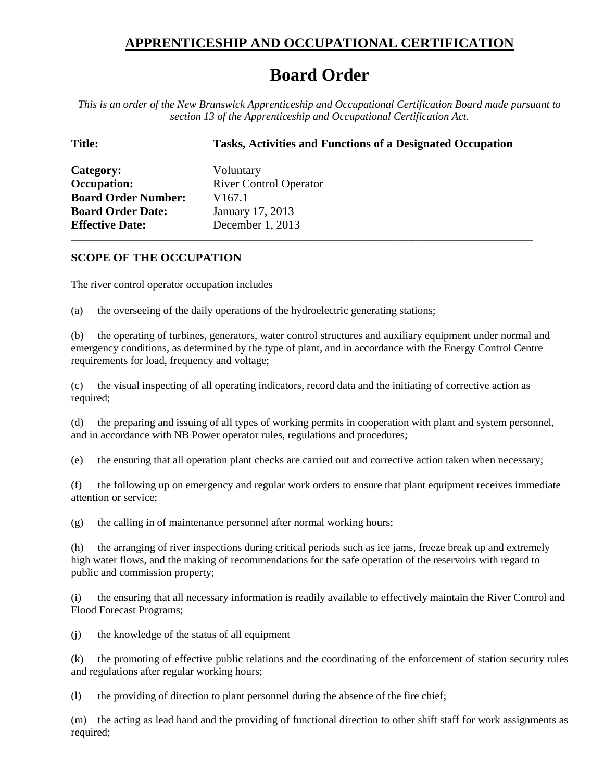## **APPRENTICESHIP AND OCCUPATIONAL CERTIFICATION**

## **Board Order**

*This is an order of the New Brunswick Apprenticeship and Occupational Certification Board made pursuant to section 13 of the Apprenticeship and Occupational Certification Act.*

**Title: Tasks, Activities and Functions of a Designated Occupation Category:** Voluntary **Occupation:** River Control Operator **Board Order Number:** V167.1 **Board Order Date:** January 17, 2013 **Effective Date:** December 1, 2013

## **SCOPE OF THE OCCUPATION**

The river control operator occupation includes

(a) the overseeing of the daily operations of the hydroelectric generating stations;

(b) the operating of turbines, generators, water control structures and auxiliary equipment under normal and emergency conditions, as determined by the type of plant, and in accordance with the Energy Control Centre requirements for load, frequency and voltage;

\_\_\_\_\_\_\_\_\_\_\_\_\_\_\_\_\_\_\_\_\_\_\_\_\_\_\_\_\_\_\_\_\_\_\_\_\_\_\_\_\_\_\_\_\_\_\_\_\_\_\_\_\_\_\_\_\_\_\_\_\_\_\_\_\_\_\_\_\_\_\_\_\_\_\_\_\_\_\_\_\_\_\_\_\_\_\_\_\_\_\_\_\_\_\_\_\_\_\_\_\_\_\_\_

(c) the visual inspecting of all operating indicators, record data and the initiating of corrective action as required;

(d) the preparing and issuing of all types of working permits in cooperation with plant and system personnel, and in accordance with NB Power operator rules, regulations and procedures;

(e) the ensuring that all operation plant checks are carried out and corrective action taken when necessary;

(f) the following up on emergency and regular work orders to ensure that plant equipment receives immediate attention or service;

(g) the calling in of maintenance personnel after normal working hours;

(h) the arranging of river inspections during critical periods such as ice jams, freeze break up and extremely high water flows, and the making of recommendations for the safe operation of the reservoirs with regard to public and commission property;

(i) the ensuring that all necessary information is readily available to effectively maintain the River Control and Flood Forecast Programs;

(j) the knowledge of the status of all equipment

(k) the promoting of effective public relations and the coordinating of the enforcement of station security rules and regulations after regular working hours;

(l) the providing of direction to plant personnel during the absence of the fire chief;

(m) the acting as lead hand and the providing of functional direction to other shift staff for work assignments as required;